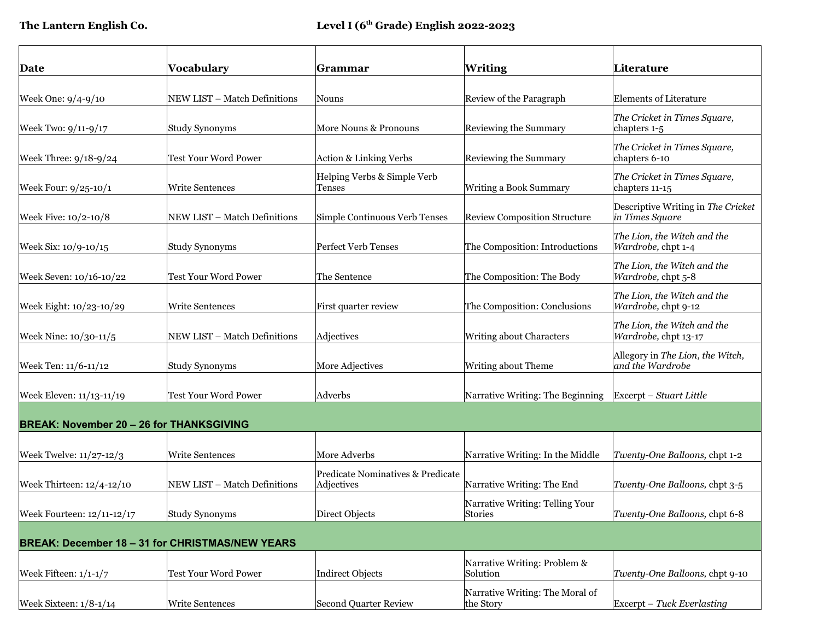| Date                                            | Vocabulary                                             | Grammar                                         | <b>Writing</b>                                    | Literature                                            |
|-------------------------------------------------|--------------------------------------------------------|-------------------------------------------------|---------------------------------------------------|-------------------------------------------------------|
|                                                 |                                                        |                                                 |                                                   |                                                       |
| Week One: 9/4-9/10                              | NEW LIST - Match Definitions                           | Nouns                                           | Review of the Paragraph                           | <b>Elements of Literature</b>                         |
| Week Two: 9/11-9/17                             | <b>Study Synonyms</b>                                  | More Nouns & Pronouns                           | Reviewing the Summary                             | The Cricket in Times Square,<br>chapters 1-5          |
| Week Three: 9/18-9/24                           | <b>Test Your Word Power</b>                            | Action & Linking Verbs                          | Reviewing the Summary                             | The Cricket in Times Square,<br>chapters 6-10         |
| Week Four: 9/25-10/1                            | <b>Write Sentences</b>                                 | Helping Verbs & Simple Verb<br>Tenses           | Writing a Book Summary                            | The Cricket in Times Square,<br>chapters 11-15        |
| Week Five: 10/2-10/8                            | NEW LIST - Match Definitions                           | Simple Continuous Verb Tenses                   | <b>Review Composition Structure</b>               | Descriptive Writing in The Cricket<br>in Times Square |
| Week Six: 10/9-10/15                            | <b>Study Synonyms</b>                                  | <b>Perfect Verb Tenses</b>                      | The Composition: Introductions                    | The Lion, the Witch and the<br>Wardrobe, chpt 1-4     |
| Week Seven: 10/16-10/22                         | <b>Test Your Word Power</b>                            | The Sentence                                    | The Composition: The Body                         | The Lion, the Witch and the<br>Wardrobe, chpt 5-8     |
| Week Eight: 10/23-10/29                         | <b>Write Sentences</b>                                 | First quarter review                            | The Composition: Conclusions                      | The Lion, the Witch and the<br>Wardrobe, chpt 9-12    |
| Week Nine: 10/30-11/5                           | NEW LIST - Match Definitions                           | Adjectives                                      | Writing about Characters                          | The Lion, the Witch and the<br>Wardrobe, chpt 13-17   |
| Week Ten: 11/6-11/12                            | <b>Study Synonyms</b>                                  | More Adjectives                                 | Writing about Theme                               | Allegory in The Lion, the Witch,<br>and the Wardrobe  |
| Week Eleven: 11/13-11/19                        | <b>Test Your Word Power</b>                            | Adverbs                                         | Narrative Writing: The Beginning                  | Excerpt – Stuart Little                               |
| <b>BREAK: November 20 - 26 for THANKSGIVING</b> |                                                        |                                                 |                                                   |                                                       |
| Week Twelve: 11/27-12/3                         | <b>Write Sentences</b>                                 | More Adverbs                                    | Narrative Writing: In the Middle                  | Twenty-One Balloons, chpt 1-2                         |
| Week Thirteen: 12/4-12/10                       | NEW LIST - Match Definitions                           | Predicate Nominatives & Predicate<br>Adjectives | Narrative Writing: The End                        | Twenty-One Balloons, chpt 3-5                         |
| Week Fourteen: 12/11-12/17                      | <b>Study Synonyms</b>                                  | Direct Objects                                  | Narrative Writing: Telling Your<br><b>Stories</b> | Twenty-One Balloons, chpt 6-8                         |
|                                                 | <b>BREAK: December 18 - 31 for CHRISTMAS/NEW YEARS</b> |                                                 |                                                   |                                                       |
| Week Fifteen: $1/1-1/7$                         | <b>Test Your Word Power</b>                            | Indirect Objects                                | Narrative Writing: Problem &<br>Solution          | Twenty-One Balloons, chpt 9-10                        |
| Week Sixteen: $1/8-1/14$                        | <b>Write Sentences</b>                                 | Second Quarter Review                           | Narrative Writing: The Moral of<br>the Story      | $\frac{1}{2}$ Excerpt – Tuck Everlasting              |